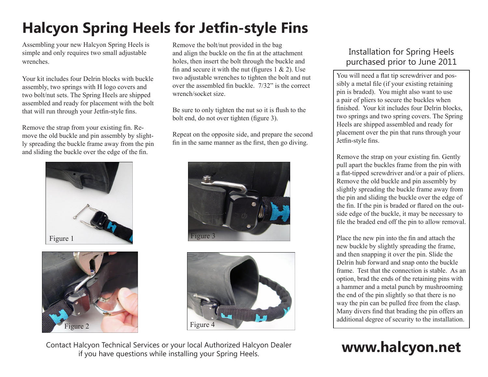## **Halcyon Spring Heels for Jetfin-style Fins**

Assembling your new Halcyon Spring Heels is simple and only requires two small adjustable wrenches.

Your kit includes four Delrin blocks with buckle assembly, two springs with H logo covers and two bolt/nut sets. The Spring Heels are shipped assembled and ready for placement with the bolt that will run through your Jetfin-style fins.

Remove the strap from your existing fin. Remove the old buckle and pin assembly by slightly spreading the buckle frame away from the pin and sliding the buckle over the edge of the fin.





Remove the bolt/nut provided in the bag and align the buckle on the fin at the attachment holes, then insert the bolt through the buckle and fin and secure it with the nut (figures  $1 \& 2$ ). Use two adjustable wrenches to tighten the bolt and nut over the assembled fin buckle. 7/32" is the correct wrench/socket size.

Be sure to only tighten the nut so it is flush to the bolt end, do not over tighten (figure 3).

Repeat on the opposite side, and prepare the second fin in the same manner as the first, then go diving.





Contact Halcyon Technical Services or your local Authorized Halcyon Dealer if you have questions while installing your Spring Heels.

## Installation for Spring Heels purchased prior to June 2011

You will need a flat tip screwdriver and possibly a metal file (if your existing retaining pin is braded). You might also want to use a pair of pliers to secure the buckles when finished. Your kit includes four Delrin blocks, two springs and two spring covers. The Spring Heels are shipped assembled and ready for placement over the pin that runs through your Jetfin-style fins.

Remove the strap on your existing fin. Gently pull apart the buckles frame from the pin with a flat-tipped screwdriver and/or a pair of pliers. Remove the old buckle and pin assembly by slightly spreading the buckle frame away from the pin and sliding the buckle over the edge of the fin. If the pin is braded or flared on the outside edge of the buckle, it may be necessary to file the braded end off the pin to allow removal.

Place the new pin into the fin and attach the new buckle by slightly spreading the frame, and then snapping it over the pin. Slide the Delrin hub forward and snap onto the buckle frame. Test that the connection is stable. As an option, brad the ends of the retaining pins with a hammer and a metal punch by mushrooming the end of the pin slightly so that there is no way the pin can be pulled free from the clasp. Many divers find that brading the pin offers an additional degree of security to the installation.

# **www.halcyon.net**